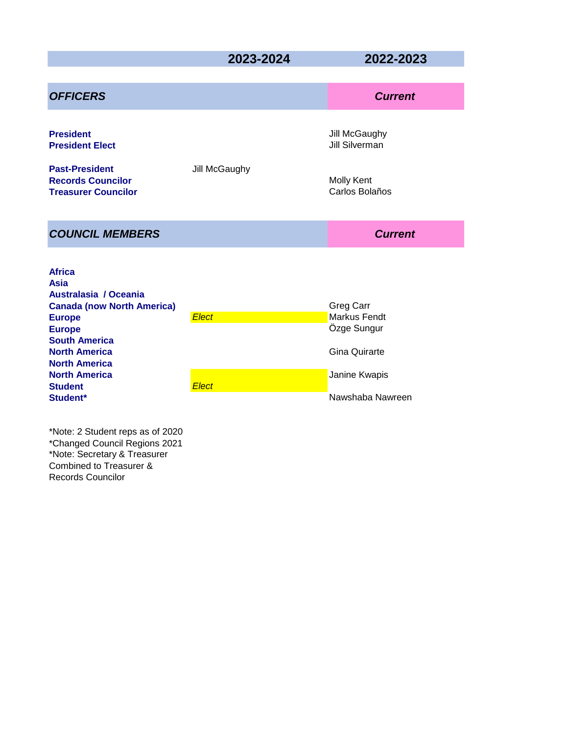# **2023-2024 2022-2023**

|                              | <b>Current</b>                                                                                        |
|------------------------------|-------------------------------------------------------------------------------------------------------|
| Jill McGaughy                | Jill McGaughy<br>Jill Silverman<br><b>Molly Kent</b><br>Carlos Bolaños                                |
|                              | <b>Current</b>                                                                                        |
| <b>Elect</b><br><b>Elect</b> | Greg Carr<br>Markus Fendt<br>Özge Sungur<br><b>Gina Quirarte</b><br>Janine Kwapis<br>Nawshaba Nawreen |
|                              |                                                                                                       |

\*Note: 2 Student reps as of 2020 \*Changed Council Regions 2021 \*Note: Secretary & Treasurer Combined to Treasurer & Records Councilor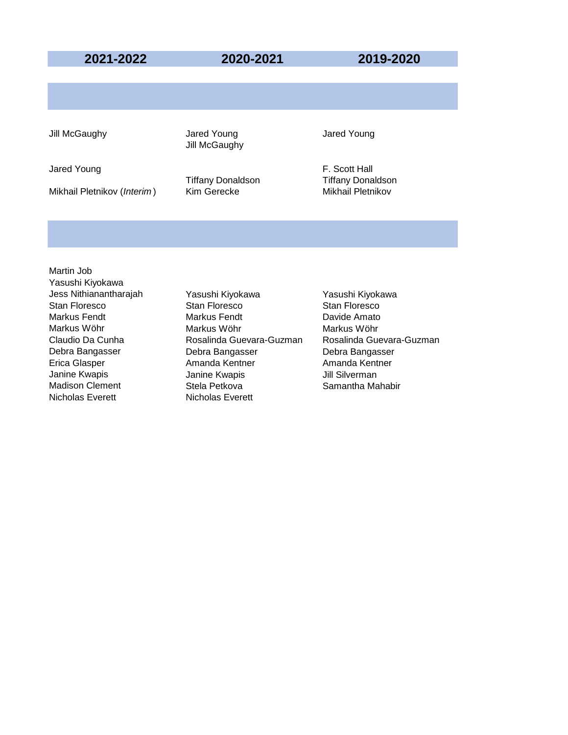### **2021-2022 2020-2021 2019-2020**

Jill McGaughy **Jared Young** Jared Young Jared Young **Jill McGaughy** 

Mikhail Pletnikov (*Interim*) Kim Gerecke Mikhail Pletnikov

Jared Young **F. Scott Hall** Tiffany Donaldson Tiffany Donaldson

Martin Job Yasushi Kiyokawa Nicholas Everett Nicholas Everett

Jess Nithianantharajah Yasushi Kiyokawa Yasushi Kiyokawa Stan Floresco Stan Floresco Stan Floresco Markus Fendt Markus Fendt Davide Amato Markus Wöhr Markus Wöhr Markus Wöhr Debra Bangasser Debra Bangasser Debra Bangasser Erica Glasper **Amanda Kentner** Amanda Kentner Amanda Kentner Janine Kwapis Janine Kwapis Jill Silverman Madison Clement **Stela Petkova** Samantha Mahabir

Claudio Da Cunha Rosalinda Guevara-Guzman Rosalinda Guevara-Guzman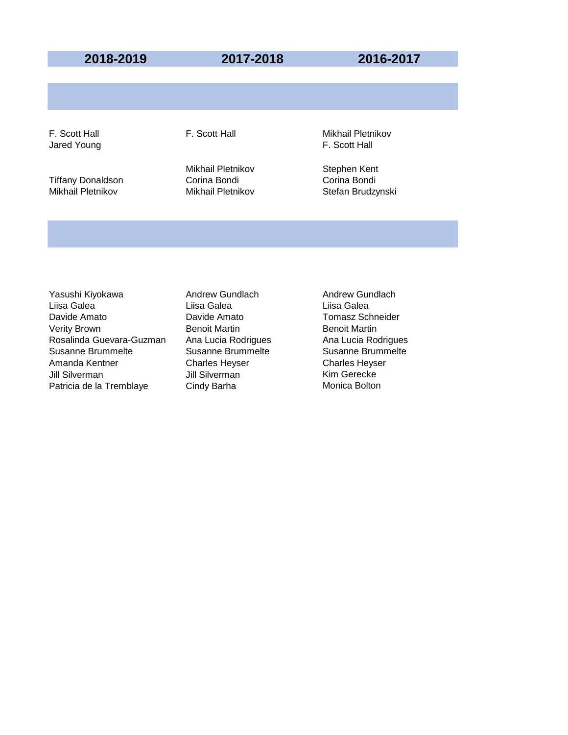### **2018-2019 2017-2018 2016-2017**

Tiffany Donaldson Corina Bondi Corina Bondi

Mikhail Pletnikov Stephen Kent

F. Scott Hall **F. Scott Hall F. Scott Hall** Mikhail Pletnikov Jared Young **F. Scott Hall** 

Mikhail Pletnikov Stefan Brudzynski

Yasushi Kiyokawa **Andrew Gundlach** Andrew Gundlach Liisa Galea Liisa Galea Liisa Galea Davide Amato Davide Amato Tomasz Schneider Verity Brown **Benoit Martin** Benoit Martin Benoit Martin Rosalinda Guevara-Guzman Ana Lucia Rodrigues Ana Lucia Rodrigues Susanne Brummelte Susanne Brummelte Susanne Brummelte Amanda Kentner Charles Heyser Charles Heyser Jill Silverman Jill Silverman Kim Gerecke Patricia de la Tremblaye Cindy Barha Monica Bolton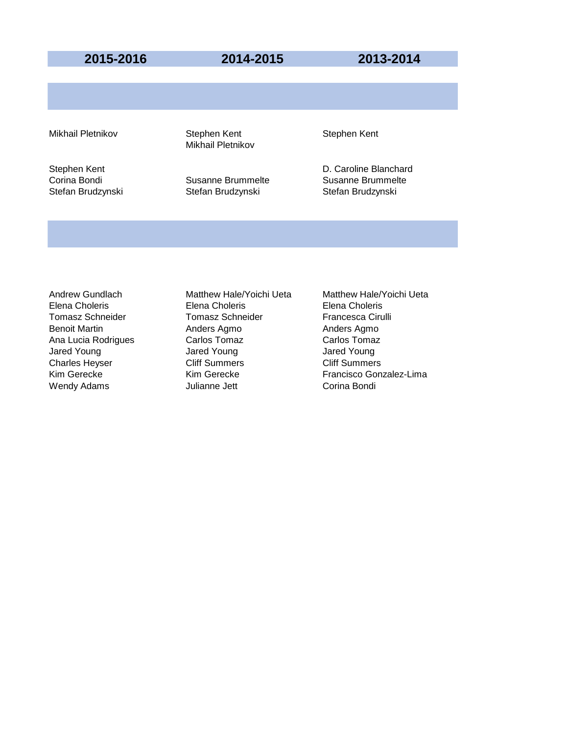**2015-2016 2014-2015 2013-2014**

Mikhail Pletnikov **Stephen Kent** Stephen Kent Stephen Kent Mikhail Pletnikov

Stefan Brudzynski Stefan Brudzynski Stefan Brudzynski

Stephen Kent **D. Caroline Blanchard** Corina Bondi Susanne Brummelte Susanne Brummelte

Charles Heyser

Elena Choleris Elena Choleris Elena Choleris Tomasz Schneider Tomasz Schneider Francesca Cirulli Benoit Martin **Anders Agmo** Anders Agmo **Anders Agmo** Ana Lucia Rodrigues Carlos Tomaz Carlos Tomaz Carlos Tomaz Jared Young Jared Young Jared Young Wendy Adams **Market Corina Bondi** Julianne Jett **Corina Bondi** 

Andrew Gundlach Matthew Hale/Yoichi Ueta Matthew Hale/Yoichi Ueta Kim Gerecke Kim Gerecke Francisco Gonzalez-Lima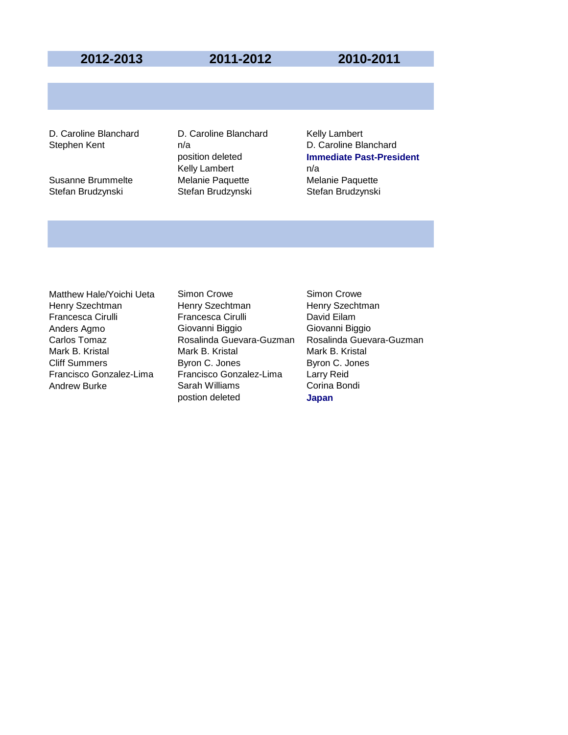## **2012-2013 2011-2012 2010-2011**

Stefan Brudzynski Stefan Brudzynski Stefan Brudzynski

D. Caroline Blanchard D. Caroline Blanchard Kelly Lambert Kelly Lambert n/a Susanne Brummelte Melanie Paquette Melanie Paquette

Stephen Kent n/a D. Caroline Blanchard position deleted **Immediate Past-President**

Matthew Hale/Yoichi Ueta Simon Crowe Simon Crowe

Henry Szechtman **Henry Szechtman** Henry Szechtman Henry Szechtman Francesca Cirulli Francesca Cirulli David Eilam Anders Agmo Giovanni Biggio Giovanni Biggio Mark B. Kristal **Mark B. Kristal Mark B. Kristal Mark B. Kristal** Cliff Summers<br>
Cliff Summers **Mark Byron C. Jones** Byron C. Jones Cliff Summers Byron C. Jones Byron C. Jones Francisco Gonzalez-Lima Francisco Gonzalez-Lima Larry Reid Andrew Burke **Sarah Williams** Corina Bondi postion deleted **Japan**

Carlos Tomaz **Rosalinda Guevara-Guzman** Rosalinda Guevara-Guzman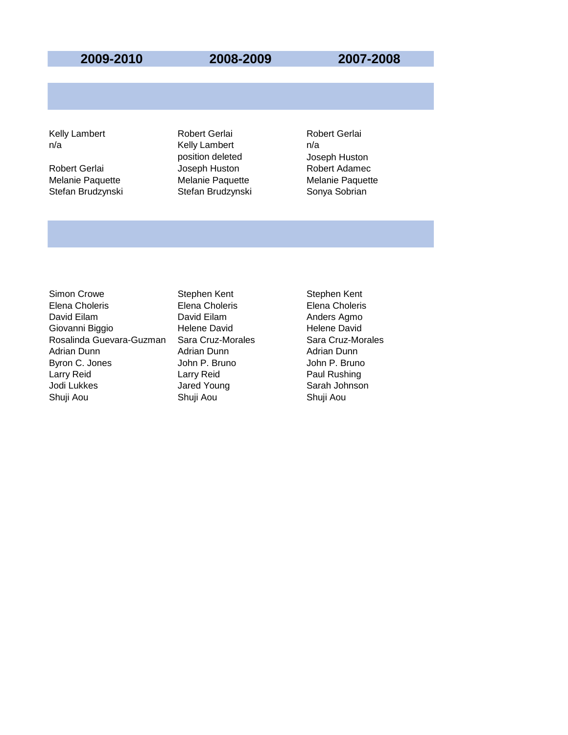### **2009-2010 2008-2009 2007-2008**

Melanie Paquette Melanie Paquette Melanie Paquette Stefan Brudzynski Stefan Brudzynski Sonya Sobrian

Kelly Lambert **Robert Gerlai** Robert Gerlai Robert Gerlai n/a contract notice in the Kelly Lambert contract no m/a position deleted Joseph Huston Robert Gerlai **Markor Huston** Joseph Huston **Robert Adamec** 

Simon Crowe Stephen Kent Stephen Kent Stephen Kent Elena Choleris Elena Choleris Elena Choleris David Eilam **David Eilam** David Eilam Anders Agmo Giovanni Biggio **Helene David** Helene David Helene David Rosalinda Guevara-Guzman Sara Cruz-Morales Sara Cruz-Morales Adrian Dunn Adrian Dunn Adrian Dunn Byron C. Jones **John P. Bruno** John P. Bruno John P. Bruno Larry Reid Larry Reid Paul Rushing Jodi Lukkes **Jared Young** Sarah Johnson Shuji Aou Shuji Aou Shuji Aou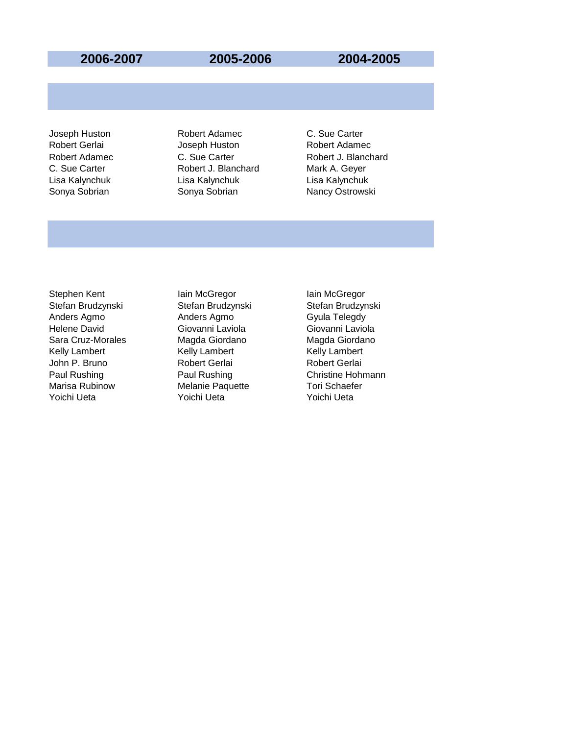## **2006-2007 2005-2006 2004-2005**

Joseph Huston Robert Adamec C. Sue Carter Robert Gerlai Joseph Huston Robert Adamec C. Sue Carter **Robert J. Blanchard** Mark A. Geyer Lisa Kalynchuk Lisa Kalynchuk Lisa Kalynchuk Sonya Sobrian Sonya Sobrian Nancy Ostrowski

Robert Adamec **C.** Sue Carter **Robert J. Blanchard** 

Stephen Kent **Iain McGregor** Iain McGregor Anders Agmo **Anders Agmo Canadia** Gyula Telegdy Helene David Giovanni Laviola Giovanni Laviola Sara Cruz-Morales Magda Giordano Kelly Lambert Kelly Lambert Kelly Lambert John P. Bruno Marisa Rubinow **Melanie Paquette** Tori Schaefer Yoichi Ueta Yoichi Ueta Yoichi Ueta

Stefan Brudzynski Stefan Brudzynski Stefan Brudzynski Paul Rushing Paul Rushing Paul Rushing Christine Hohmann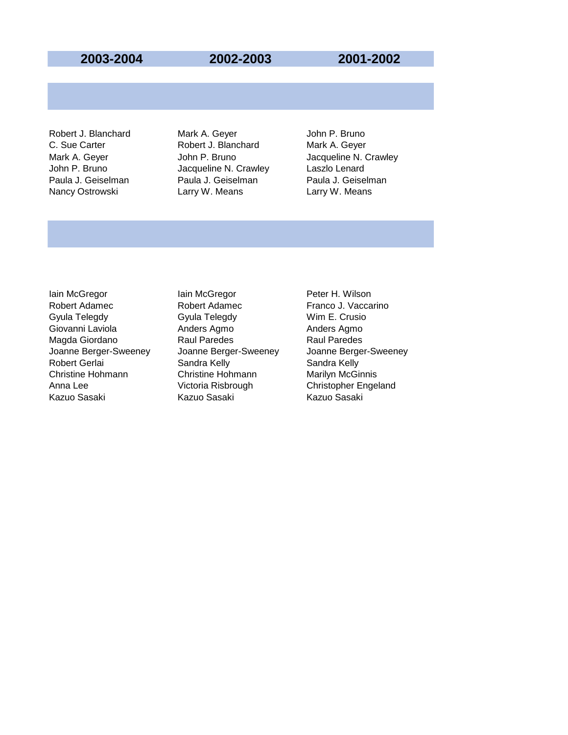### **2003-2004 2002-2003 2001-2002**

Robert J. Blanchard Mark A. Geyer John P. Bruno C. Sue Carter **Robert J. Blanchard** Mark A. Geyer John P. Bruno Jacqueline N. Crawley Laszlo Lenard Paula J. Geiselman Paula J. Geiselman Paula J. Geiselman Nancy Ostrowski **Larry W. Means** Larry W. Means

Mark A. Geyer **State State State John P. Bruno** Jacqueline N. Crawley

Iain McGregor **Iain McGregor** Peter H. Wilson Robert Adamec **Robert Adamec Robert Adamec Franco J. Vaccarino** Gyula Telegdy Gyula Telegdy Wim E. Crusio Giovanni Laviola **Anders Agmo** Anders Agmo Anders Agmo Magda Giordano **Raul Paredes** Raul Paredes Raul Paredes Joanne Berger-Sweeney Joanne Berger-Sweeney Joanne Berger-Sweeney Christine Hohmann **Christine Hohmann** Marilyn McGinnis Anna Lee **Victoria Risbrough** Christopher Engeland Kazuo Sasaki Kazuo Sasaki Kazuo Sasaki

Sandra Kelly **Sandra Kelly** Sandra Kelly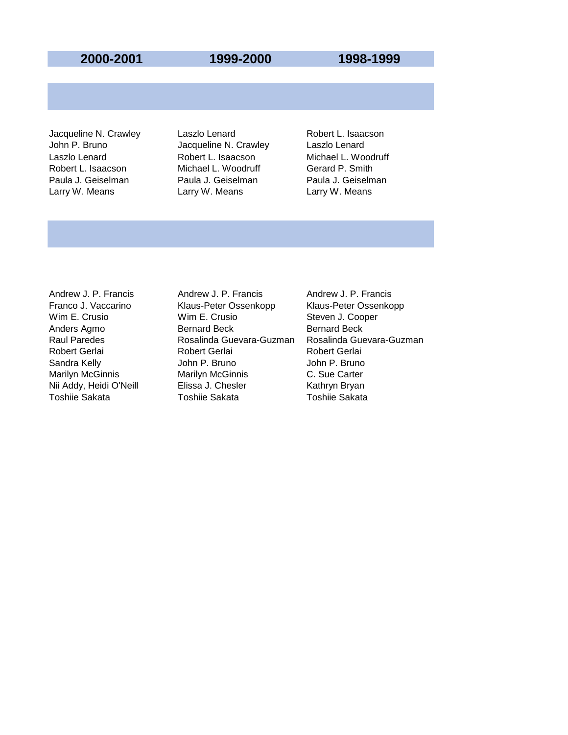### **2000-2001 1999-2000 1998-1999**

John P. Bruno **Canada Caccillation** Jacqueline N. Crawley Laszlo Lenard Laszlo Lenard Robert L. Isaacson Michael L. Woodruff Robert L. Isaacson Michael L. Woodruff Gerard P. Smith Paula J. Geiselman Paula J. Geiselman Paula J. Geiselman Larry W. Means **Larry W. Means** Larry W. Means

Jacqueline N. Crawley Laszlo Lenard **Robert L. Isaacson** 

Andrew J. P. Francis **Andrew J. P. Francis** Andrew J. P. Francis Franco J. Vaccarino Klaus-Peter Ossenkopp Klaus-Peter Ossenkopp Wim E. Crusio **Wim E. Crusio** Steven J. Cooper Anders Agmo **Bernard Beck** Bernard Beck Bernard Beck Robert Gerlai **Robert Gerlai** Robert Gerlai Robert Gerlai Sandra Kelly **Sandra Kelly** John P. Bruno John P. Bruno Marilyn McGinnis Marilyn McGinnis C. Sue Carter Nii Addy, Heidi O'Neill Elissa J. Chesler Kathryn Bryan Toshiie Sakata Toshiie Sakata Toshiie Sakata

Raul Paredes Rosalinda Guevara-Guzman Rosalinda Guevara-Guzman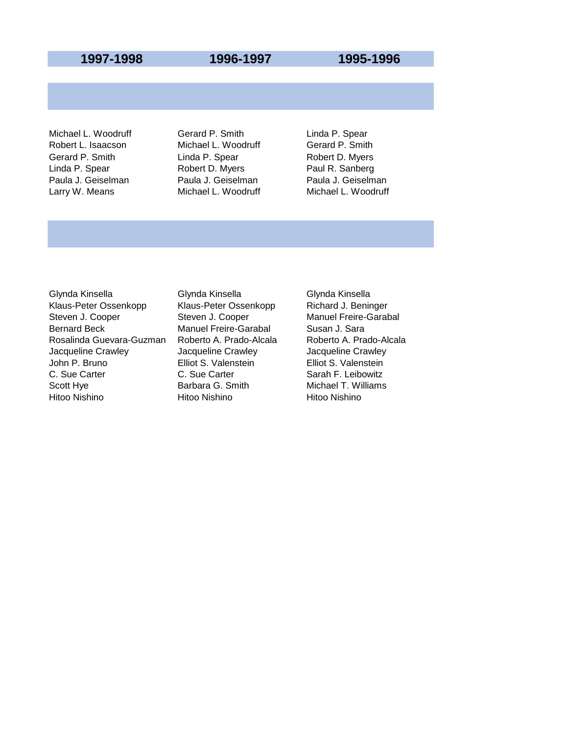## **1997-1998 1996-1997 1995-1996**

Robert L. Isaacson Michael L. Woodruff Gerard P. Smith Gerard P. Smith **Linda P. Spear** Robert D. Myers Linda P. Spear **Robert D. Myers** Paul R. Sanberg Paula J. Geiselman Paula J. Geiselman Paula J. Geiselman Larry W. Means **Michael L. Woodruff** Michael L. Woodruff

Michael L. Woodruff **Gerard P. Smith** Linda P. Spear

Glynda Kinsella Glynda Kinsella Glynda Kinsella Klaus-Peter Ossenkopp Klaus-Peter Ossenkopp Richard J. Beninger Steven J. Cooper Steven J. Cooper Manuel Freire-Garabal Bernard Beck Manuel Freire-Garabal Susan J. Sara Rosalinda Guevara-Guzman Roberto A. Prado-Alcala Roberto A. Prado-Alcala Jacqueline Crawley Jacqueline Crawley Jacqueline Crawley C. Sue Carter C. Sue Carter Sarah F. Leibowitz Scott Hye **Barbara G. Smith** Michael T. Williams Hitoo Nishino Hitoo Nishino Hitoo Nishino

Elliot S. Valenstein